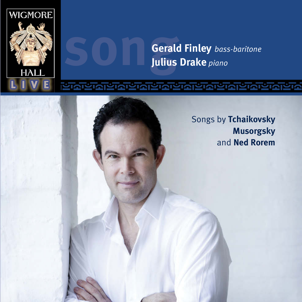

**songGerald Finley** *bass-baritone* **Julius Drake** *piano*

<u>Greizierzierung der Sieherzierzierzierzier</u>

Songs by **Tchaikovsky Musorgsky**  and **Ned Rorem**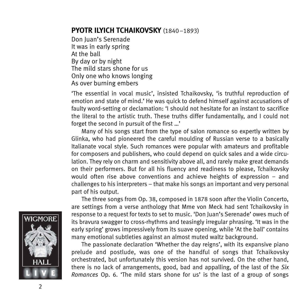## **PYOTR ILYICH TCHAIKOVSKY** (1840–1893)

Don Juan's Serenade It was in early spring At the ball By day or by night The mild stars shone for us Only one who knows longing As over burning embers

'The essential in vocal music', insisted Tchaikovsky, 'is truthful reproduction of emotion and state of mind.' He was quick to defend himself against accusations of faulty word-setting or declamation: 'I should not hesitate for an instant to sacrifice the literal to the artistic truth. These truths differ fundamentally, and I could not forget the second in pursuit of the first …'

Many of his songs start from the type of salon romance so expertly written by Glinka, who had pioneered the careful moulding of Russian verse to a basically Italianate vocal style. Such romances were popular with amateurs and profitable for composers and publishers, who could depend on quick sales and a wide circu lation. They rely on charm and sensitivity above all, and rarely make great demands on their performers. But for all his fluency and readiness to please, Tchaikovsky would often rise above conventions and achieve heights of expression – and challenges to his interpreters – that make his songs an important and very personal part of his output.

The three songs from Op. 38, composed in 1878 soon after the Violin Concerto, are settings from a verse anthology that Mme von Meck had sent Tchaikovsky in response to a request for texts to set to music. 'Don Juan's Serenade' owes much of its bravura swagger to cross-rhythms and teasingly irregular phrasing. 'It was in the early spring' grows impressively from its suave opening, while 'At the ball' contains many emotional subtleties against an almost muted waltz background.

The passionate declaration 'Whether the day reigns', with its expansive piano prelude and postlude, was one of the handful of songs that Tchaikovsky orchestrated, but unfortunately this version has not survived. On the other hand, there is no lack of arrangements, good, bad and appalling, of the last of the *Six Romances* Op. 6. 'The mild stars shone for us' is the last of a group of songs

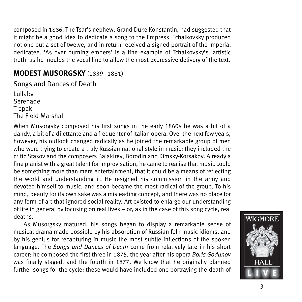composed in 1886. The Tsar's nephew, Grand Duke Konstantin, had suggested that it might be a good idea to dedicate a song to the Empress. Tchaikovsky produced not one but a set of twelve, and in return received a signed portrait of the Imperial dedicatee. 'As over burning embers' is a fine example of Tchaikovsky's 'artistic truth' as he moulds the vocal line to allow the most expressive delivery of the text.

## **MODEST MUSORGSKY** (1839–1881)

Songs and Dances of Death

Lullaby Serenade Trepak The Field Marshal

When Musorgsky composed his first songs in the early 1860s he was a bit of a dandy, a bit of a dilettante and a frequenter of Italian opera. Over the next few years, however, his outlook changed radically as he joined the remarkable group of men who were trying to create a truly Russian national style in music: they included the critic Stasov and the composers Balakirev, Borodin and Rimsky-Korsakov. Already a fine pianist with a great talent for improvisation, he came to realise that music could be something more than mere entertainment, that it could be a means of reflecting the world and understanding it. He resigned his commission in the army and devoted himself to music, and soon became the most radical of the group. To his mind, beauty for its own sake was a misleading concept, and there was no place for any form of art that ignored social reality. Art existed to enlarge our understanding of life in general by focusing on real lives – or, as in the case of this song cycle, real deaths.

As Musorgsky matured, his songs began to display a remarkable sense of musical drama made possible by his absorption of Russian folk-music idioms, and by his genius for recapturing in music the most subtle inflections of the spoken language. The *Songs and Dances of Death* come from relatively late in his short career: he composed the first three in 1875, the year after his opera *Boris Godunov* was finally staged, and the fourth in 1877. We know that he originally planned further songs for the cycle: these would have included one portraying the death of

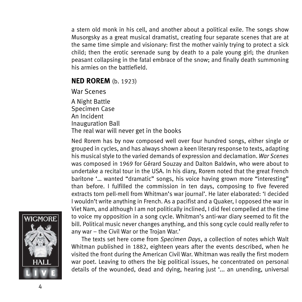a stern old monk in his cell, and another about a political exile. The songs show Musorgsky as a great musical dramatist, creating four separate scenes that are at the same time simple and visionary: first the mother vainly trying to protect a sick child; then the erotic serenade sung by death to a pale young girl; the drunken peasant collapsing in the fatal embrace of the snow; and finally death summoning his armies on the battlefield.

## **NED ROREM** (b. 1923)

War Scenes

A Night Battle Specimen Case An Incident Inauguration Ball The real war will never get in the books

Ned Rorem has by now composed well over four hundred songs, either single or grouped in cycles, and has always shown a keen literary response to texts, adapting his musical style to the varied demands of expression and declamation. *War Scenes* was composed in 1969 for Gérard Souzay and Dalton Baldwin, who were about to undertake a recital tour in the USA. In his diary, Rorem noted that the great French baritone '… wanted "dramatic" songs, his voice having grown more "interesting" than before. I fulfilled the commission in ten days, composing to five fevered extracts torn pell-mell from Whitman's war journal'. He later elaborated: 'I decided I wouldn't write anything in French. As a pacifist and a Quaker, I opposed the war in Viet Nam, and although I am not politically inclined, I did feel compelled at the time to voice my opposition in a song cycle. Whitman's anti-war diary seemed to fit the bill. Political music never changes anything, and this song cycle could really refer to any war – the Civil War or the Trojan War.'

The texts set here come from *Specimen Days*, a collection of notes which Walt Whitman published in 1882, eighteen years after the events described, when he visited the front during the American Civil War. Whitman was really the first modern war poet. Leaving to others the big political issues, he concentrated on personal details of the wounded, dead and dying, hearing just '... an unending, universal

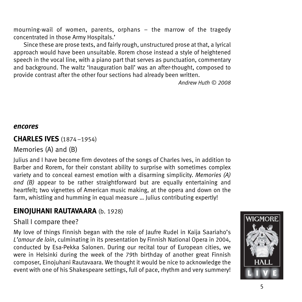mourning-wail of women, parents, orphans – the marrow of the tragedy concentrated in those Army Hospitals.'

Since these are prose texts, and fairly rough, unstructured prose at that, a lyrical approach would have been unsuitable. Rorem chose instead a style of heightened speech in the vocal line, with a piano part that serves as punctuation, commentary and background. The waltz 'Inauguration ball' was an after-thought, composed to provide contrast after the other four sections had already been written.

*Andrew Huth © 2008*

## *encores*

## **CHARLES IVES** (1874–1954)

Memories (A) and (B)

Julius and I have become firm devotees of the songs of Charles Ives, in addition to Barber and Rorem, for their constant ability to surprise with sometimes complex variety and to conceal earnest emotion with a disarming simplicity. *Memories (A) and (B)* appear to be rather straightforward but are equally entertaining and heartfelt; two vignettes of American music making, at the opera and down on the farm, whistling and humming in equal measure … Julius contributing expertly!

## **EINOJUHANI RAUTAVAARA** (b. 1928)

## Shall I compare thee?

My love of things Finnish began with the role of Jaufre Rudel in Kaija Saariaho's *L'amour de loin*, culminating in its presentation by Finnish National Opera in 2004, conducted by Esa-Pekka Salonen. During our recital tour of European cities, we were in Helsinki during the week of the 79th birthday of another great Finnish composer, Einojuhani Rautavaara. We thought it would be nice to acknowledge the event with one of his Shakespeare settings, full of pace, rhythm and very summery!

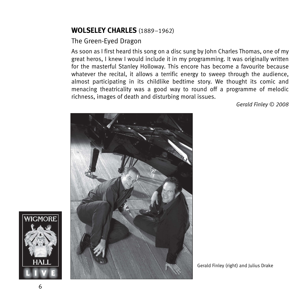## **WOLSELEY CHARLES** (1889–1962)

## The Green-Eyed Dragon

As soon as I first heard this song on a disc sung by John Charles Thomas, one of my great heros, I knew I would include it in my programming. It was originally written for the masterful Stanley Holloway. This encore has become a favourite because whatever the recital, it allows a terrific energy to sweep through the audience, almost participating in its childlike bedtime story. We thought its comic and menacing theatricality was a good way to round off a programme of melodic richness, images of death and disturbing moral issues.

*Gerald Finley © 2008*





Gerald Finley (right) and Julius Drake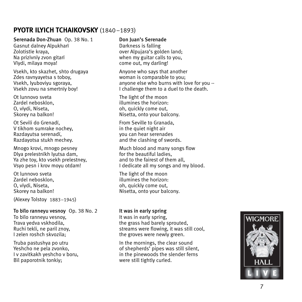## **PYOTR ILYICH TCHAIKOVSKY** (1840–1893)

Serenada Don-Zhuan Op. 38 No. 1 Don Juan's Serenade

Gasnut dalney Alpukharï Darkness is falling

Vsekh, kto skazhet, shto drugava Anyone who says that another Zdes ravnyayetsa s toboy, woman is comparable to you;

V tikhom sumrake nochey. The process in the quiet night air Razdayutsa serenadï, you can hear serenades

Dlya prelestnïkh lyutsa dam, for the beautiful ladies,<br>
Ya zhe tov, kto ysekh prelestnev and to the fairest of them all Ya zhe toy, kto vsekh prelestney,<br>Vsvo pesn i krov movu otdam!

(Alexey Tolstoy 1883–1945)

To bïlo ranneyu vesnoy Op. 38 No. 2 It was in early spring

over Alpujara's golden land; Na prizïvnïy zvon gitarï when my guitar calls to you, come out, my darling!

Vsekh, lyuboviyu sgoraya, anyone else who burns with love for you --<br>Vsekh zovu na smertnïv bov! anyone and love for the death view of the death. I challenge them to a duel to the death.

Ot lunnovo sveta<br>
The light of the moon<br>
Tardel nebosklon.<br>
The light of the moon and the moon of the morizon: illumines the horizon: O, vïydi, Niseta, oh, quickly come out, Skorey na balkon! Nisetta, onto your balcony.

Ot Sevili do Grenadï, established a From Seville to Granada, and the clashing of swords.

Mnogo krovi, mnogo pesney  $\frac{M}{2}$  Much blood and many songs flow I dedicate all my songs and my blood.

Ot lunnovo sveta The light of the moon Zardel nebosklon, illumines the horizon: O, vïydi, Niseta, **only come out**, **only come out**, **only come out**, **only come** out, Skorey na balkon! Nisetta, onto your balcony.

To bïlo ranneyu vesnoy, Trava versions, It was in early spring, Interval of the grass had barely spring, Interval of the grass had barely spring, Interval of the grass had barely spring, Interval of the grass had barely sp Trava yedva vskhodila,<br>
Ruchi tekli, ne paril znov, entity and the grass had barely sprouted,<br>
streams were flowing, it was st Ruchi tekli, ne paril znoy, streams were flowing, it was still cool, <br>I zelen roshch skvozila: streams the groves were newly green. the groves were newly green.

Truba pastushya po utru In the mornings, the clear sound<br>
Yeshcho ne pela zvonko.<br>
Of shepherds' pipes was still sile of shepherds' pipes was still silent. I v zavitkakh yeshcho v boru,<br>
Bil paporotnik tonkiv: in the pinewoods the slender ferns<br>
Were still tightly curled. were still tightly curled.

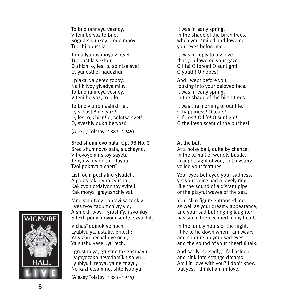To bïlo ranneyu vesnoy, It was in early spring,

To na lyubov movu v otvet It was in reply to my love Ti opustila vezhdï...<br>O zhizn! o. les! o. solntsa svet! (a solife! O forest! O sunlight!) O zhizn! o, les! o, solntsa svet! O, yunost! o, nadezhdï! (O youth! O hopes!

I plakal ya pered toboy, and I wept before you,<br>Na lik tyoy glyadya miliy. To bïlo ranneyu vesnoy,<br>
V teni bervoz to bïlo<br>
V teni bervoz to bïlo

To bïlo v utro nashikh let. It was the morning of our life. O, schaste! o slyozï! <br>O. les! o. zhizn! o. solntsa svet! <br>O forest! O life! O sunlight! O, les! o, zhizn! o, solntsa svet!

(Alexey Tolstoy 1883–1945)

### Sred shumnovo bala Op. 38 No. 3 At the ball

Sred shumnovo bala, sluchayno, At a noisy ball, quite by chance, V trevoge mirskoy suyetï,<br>
Tebya va uvidel, no tayna<br>
I caught sight of you, but myste Tvoi pokrïvala chertï. veiled your features.

Mne stan tvoy ponravilsa tonkiy year of Your slim figure entranced me,<br>I ves tvoy zadumchivïv vid. Your sas well as your dreamy appearantly A smekh tvoy, i grustnïy, i zvonkiy,

I v gryozakh nevedomïkh splyu... and sink into strange dreams. No kazhetsa mne, shto lyublyu! but yes, I think I am in love.

(Alexey Tolstoy 1883–1945)

V teni beryoz to bïlo, in the shade of the birch trees. Kogda s ulïbkoy predo mnoy<br>Ti ochi onustila volumente when you smiled and lowered vour eyes before me

looking into your beloved face.  $\overline{a}$  in the shade of the birch trees.

O, svezhiy dukh beryozï! O the fresh scent of the birches!

I caught sight of you, but mystery

Lish ochi pechalno glyadeli, Your eyes betrayed your sadness, A golos tak divno zvuchal, yet your voice had a lovely ring, Kak zvon otdalyonnov svireli, and the sound of a distant pipe Kak morya igrayushchiy val. exercise the playful waves of the sea.

as well as your dreamy appearance;<br>and your sad but ringing laughter S tekh por v movom serdtse zvuchit. has since then echoed in my heart.

V chasï odinokiye nochi **In the lonely hours of the night**, Lyublyu ya, ustalïy, prilech: I like to lie down when I am weary Ya vizhu pechalnïye ochi, and conjure up your sad eyes Ya slïshu veseluyu rech. The sound the sound of your cheerful talk.

I grustno ya, grustno tak zasïpayu, And sadly, so sadly, I fall asleep Am I in love with you? I don't know.

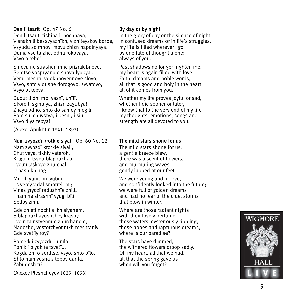### Den li tsarit Op. 47 No. 6 By day or by night

Den li tsarit, tishina li nochnaya, In the glory of day or the silence of night,<br>V snakh li bessyvaznikh, v zhitevskov borbe, In confused dreams or in life's struggles. V snakh li bessvyaznïkh, v zhiteyskoy borbe, in confused dreams or in life'<br>Vsvudu so mnovi movu zhizn nanolnyava in my life is filled wherever Lgo Vsyudu so mnoy, movu zhizn napolnyaya Duma vse ta zhe, odna rokovaya, by one fateful thought alone:<br>Vsvo o tebel

S neyu ne strashen mne prizrak bïlovo, Past shadows no longer frighten me, Serdtse vospryanulo snova lyubya... my heart is again filled with love.<br>Vera. mechti. vdokhnovennove slovo. Faith. dreams and noble words. Vera, mechtï, vdokhnovennoye slovo,<br>Vsvo, shto v dushe dorogovo, svvatovo, all that is good and holy in the heart: Vsyo, shto v dushe dorogovo, svyatovo, Vsyo of tebya! all of it comes from you.

Skoro li sginu ya, zhizn zagubya!<br>Znavu odno, shto do samov mogili

(Alexei Apukhtin 1841–1893)

# Nam zvyozdï krotkie siyali Op. 60 No. 12 The mild stars shone for us

Nam zvyozdï krotkie siyali. Chut veyal tikhiy veterok,<br>
Krugom tsvetï blagoukhali, 
Krugom tsvetï blagoukhali, 
a gent of f I volnï laskovo zhurchali and murmuring waves U nashikh nog. The same sently lapped at our feet.

Mï bïli yunï, mï lyubili,<br>
I s verov v dal smotreli mï:<br>
I s verov v dal smotreli mï:<br>
We were young and confidently looked into Sedov zimï. The set of that blow in winter.

Gde zh eti nochi s ikh siyanem, where are those radiant nights<br>S blagoukhavushchev krasov with their lovely perfume. S blagoukhayushchey krasov I voln tainstvennïm zhurchanem, end those waters mysteriously rippling,  $N = N$ Nadezhd, vostorzhyonnïkh mechtaniy<br>Gde svetlïv rov?

Pomerkli zvyozdï, i unïlo The stars have dimmed,<br>Ponikli blyoklïe tsvetï... The withered flowers dro Kogda zh, o serdtse, vsyo, shto bïlo, Coh my heart, all that we had, Choto and Shoto and Shoto and Shoto and that we had,  $\frac{1}{100}$ Shto nam vesna s toboy darila,<br>Zabudesh tï?

(Alexey Pleshcheyev 1825–1893)

always of you.

Budut li dni moi yasnï, unïlï, Whether my life proves joyful or sad,<br>Skoro li sginu va zhizn zaguhyal whether l die sooner or later Znayu odno, shto do samoy mogilï I know that to the very end of my life<br>Pomïslï, chuvstva, i pesni, i silï. I my thoughts, emotions, songs and Pomïslï, chuvstva, i pesni, i silï, my thoughts, emotions, songs and<br>Vsvo diva tehva! Strength are all devoted to you. strength are all devoted to you.

there was a scent of flowers,

I s veroy v dal smotreli mï; exercise into the future;<br>V nas grypzi raduzhnie zhili. exerce into we were full of golden dreams V nas gryozï raduzhnïe zhili,<br>
I nam ne strashnï vvugi bïli and had no fear of the cruel st and had no fear of the cruel storms

where is our paradise?

the withered flowers droop sadly. when will you forget?

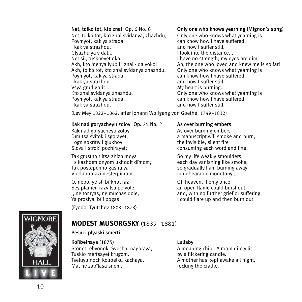Net, tolko tot, kto znal svidanya, zhazhdu, Only one who knows what yearning is Poymyot, kak ya stradal can know how I have suffered,<br>I kak ya strazhdu Glyazhu ya v dal...<br>
Net sil. tusknevet oko...<br>
I have no strength, my ev Net sil, tuskneyet oko...<br>Akh kto menya lyubil i znal - dalyoko! Ah the one who loved and knew me Akh, tolko tot, kto znal svidanya zhazhdu, Only one who knows what yearning is Poymyot, kak ya stradal can know how I have suffered,<br>I kak ya strazhdu Vsya grud gorit... My heart is burning… Kto znal svidanya zhazhdu, Only one who knows what yearning is Poymyot, kak ya stradal can know how I have suffered, I kak ya strazhdu. and how I suffer still.

### Net, tolko tot, kto znal Op. 6 No. 6 Only one who knows yearning (Mignon's song)

and how I suffer still. Ah, the one who loved and knew me is so far! and how I suffer still

(Lev Mey 1822–1862, after Johann Wolfgang von Goethe 1749–1832)

### Kak nad goryacheyu zoloy Op. 25 No. 2 As over burning embers

I ogn sokrïtïy i glukhoy<br>Slova i stroki pozhiravet:<br>Consuming each word a

Tak grustno tlitsa zhizn moya So my life weakly smoulders,<br>Is kazhdïm dnyom ukhodit dïmom: Seach day vanishing like smok Tak postepenno gasnu ya so gradually I am burning away V odnoobrazi nesterpimom... in unbearable monotony ...

O, nebo, ye sli bï khot raz Oh heaven, if only once

(Fyodor Tyutchev 1803–1873)

Kak nad goryacheyu zoloy Max As over burning embers Dimitsa svitok i sgoravet, a manuscript will smoke and burn, consuming each word and line:

each day vanishing like smoke;

Sey plamen razvilsa po vole, source an open flame could burst out, I, ne tomyas, ne muchas dole, and, with no further grief or suffering, I, and then burn out.<br>I could flare up and then burn out. I could flare up and then burn out.

## **MODEST MUSORGSKY** (1839–1881)

### Pesni i plyaski smerti

Kolïbelnaya (1875) Lullaby Stonet rebyonok. Svecha, nagoraya, A moaning child. A room dimly lit<br>Tusklo mertsavet krugom. by a flickering candle. Tusklo mertsavet krugom. Tseluyu noch kolïbelku kachaya,  $\overline{A}$  mother has kept awake all night, Mat ne zabïlasa snom.  $M$ at ne zabïlasa snom.

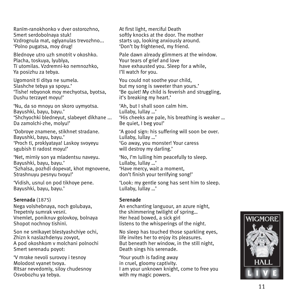Ranïm-ranokhonko v dver ostorozhno and At first light, merciful Death Smert serdobolnaya stuk! softly knocks at the door. The mother values of the values of the values of the values of the values of the values of the values of the values of the values of the values of the values of the value Vzdrognula mat, oglyanulas trevozhno...<br>'Polno pugatsa, mov drug!

Placha, toskuya, lyublya, Your tears of grief and love<br>Tiutomilas, Vzdremni-ko nemnozhko have exhausted vou. Sleep Ya posizhu za tebya. I'll watch for you.

Ugomonit tï ditya ne sumela.<br>Slashche tebya va spovu.'<br>but my song is sweeter than you Slashche tebya ya spoyu.' but my song is sweeter than yours.'

'Nu, da so mnoyu on skoro uymyotsa. 'Ah, but I shall soon calm him.<br>Bayushki, bayu, bayu.'<br>Lullaby, lullay ...' Bayushki, bayu, bayu.'<br>'Shchyochki blednevut, slabevet dïkhane ... Da zamolchi-zhe, molvu!'

Bayushki, bayu, bayu.' Lullaby, lullay …' 'Proch tï, proklyataya! Laskoy svoyeyu 'Go away, you monster!<br>seubish tï radost movu!' will destroy my darling.' sgubish ti radost movu!'

'Net, mirnïy son ya mladentsu naveyu. 'No, I'm lulling him peacefully to sleep. Bayushki, bayu, bayu.' Lullaby, lullay …' 'Szhalsa, pozhdi dopevat, khot mgnovene,<br>Strashnuvu pesnyu tvovu!'

Bayushki, bayu, bayu.'

### Serenada (1875) Serenade

Vnemlet, poniknuv golovkoy, bolnaya<br>Shopot nochnov tishinï.

Zhizn k naslazhdenyu zovyot,<br>
A pod okoshkom v molchani polnochi<br>
But beneath her window, in the still r Smert serenadu poyot: Death sings his serenade.

'V mrake nevoli surovoy i tesnoy 'Your youth is fading away Molodost vyanet tvoya.<br>
Ritsar nevedomiy, siloy chudesnoy and am your unknown knight Osvobozhu ya tebya. with my magic powers.

'Don't by frightened, my friend.

Blednoye utro uzh smotrit v okoshko. Pale dawn already glimmers at the window.<br>Placha, toskuya, lyublya. Placha Pour tears of grief and love have exhausted you. Sleep for a while,

'Tishe! rebyonok moy mechyotsa, byotsa, 'Be quiet! My child is feverish and struggling, it's breaking my heart.'

'His cheeks are pale, his breathing is weaker ... Be quiet. I beg you!'

'Dobroye znamene, stikhnet stradane. 'A good sign: his suffering will soon be over.<br>Bavushki, bavu, bavu,'<br>Lullabv, lullav,...'

don't finish your terrifying song!'

'Vidish, usnul on pod tikhoye pene.<br>Bavushki, bavu, bavu,'<br>Lullaby, lullay ...,'

Nega volshebnaya, noch golubaya, and an enchanting languour, an azure night,  $\frac{1}{10}$  and  $\frac{1}{10}$  and  $\frac{1}{10}$  and  $\frac{1}{10}$  and  $\frac{1}{10}$  and  $\frac{1}{10}$  and  $\frac{1}{10}$  and  $\frac{1}{10}$  and  $\frac{1}{10}$  and  $\frac{1}{10}$ the shimmering twilight of spring...<br>Her head bowed, a sick girl listens to the whisperings of the night.

Son ne smïkayet blestyashchiye ochi, No sleep has touched those sparkling eyes,<br>
Zhizn k naslazhdenyu zovyot. 
life invites her to eniov its pleasures. But beneath her window, in the still night,

I am your unknown knight, come to free you

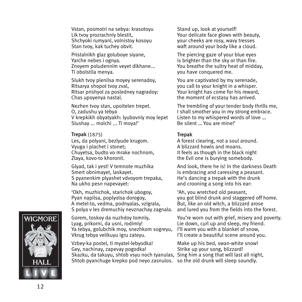Vstan, posmotri na sebya: krasotovu Stand up, look at yourself! Shchyoki rumyanï, volnistoy kosoyu your cheeks are rosy, wavy tresses<br>Stan tvov, kak tuchev obvit. waft around vour body like a cloud

Pristalnïkh glaz goluboye siyane, The piercing gaze of your blue eyes Yarche nebes i ognya.<br>2008 - is brighter than the sky or than fire.<br>2011 - You breathe the sultry heat of midd. Tï obolstila menya. you have conquered me.

Slukh tvoy plenilsa moyey serenadoy, You are captivated by my serenade, Rïtsarya shopot tvoy zval, you call to your knight in a whisper. Rïtsar prishyol za posledney nagradoy: Your knight has come for his reward,<br>Chas unovenya nastal starting the moment of ecstasy has arrived

O, zadushu ya tebya<br>V krepkikh obvatvakh: lvubovnïv mov lepet I isten to my whispered words of love ... V krepkikh obyatyakh: lyubovnïy moy lepet Listen to my whispered words in the love in the love shows the love i<br>Slushav … molchi … Ti mova!' Be silent Listen under the lo Slushay ... molchi ... Ti mova!'

### Trepak (1875) Trepak

Les, da polyanï, bezivude krugom. A forest clearing, not a soul around. Vyuga i plachet i stonet; A blizzard howls and moans. Chuyetsa, budto vo mrake nochnom, It feels as though in the black night Zlaya, kovo-to khoronit. the Evil one is burying somebody.

Smert obnimayet, laskayet. is embracing and caressing a peasant. S pyanenkim plyashet vdvoyom trepaka. Na ukho pesn napevayet: and crooning a song into his ear:

'Okh, muzhichok, starichok ubogoy, 'Ah, you wretched old peasant, Pyan napilsa, poplyolsa dorogoy, you got blind drunk and staggered off home. A metel-to, vedma, podnyalas, vzïgrala, But, like an old witch, a blizzard arose S polya v les dremuchiy nevznachay zagnala. and lured you from the fields into the forest.

Lyag, prikorni, da usni, rodimïy! Lie down, curl up and sleep, my friend.<br>Ya tebya, golubchik mov, snezhkom sogrevu. L'Il warm you with a blanket of snow. Ya tebya, golubchik moy, snezhkom sogreyu, Vkrug tebya velikuyu igru zateyu. I'll create a beautiful scene around you.

Vzbey-ka postel, tï myatel-lebyodka! Make up his bed, swan-white snow! Gey, nachinay, zapevay pogodka! Strike up your song, blizzard! Skazku, da takuyu, shtob vsyu noch tyanulas, Sing him a song that will last all night, Shtob pyanchuge krepko pod neyo zasnulos. so the old drunk will sleep soundly.

Lik tvoy prozrachnïy blestit, Your delicate face glows with beauty, waft around your body like a cloud.

You breathe the sultry heat of midday.

the moment of ecstasy has arrived.

Nezhen tvoy stan, upoitelen trepet. The trembling of your tender body thrills me,

Glyad, tak i yest! V temnote muzhika And look, there he is! In the darkness Death

Gorem, toskoy da nuzhdoy tomnïy, You're worn out with grief, misery and poverty.

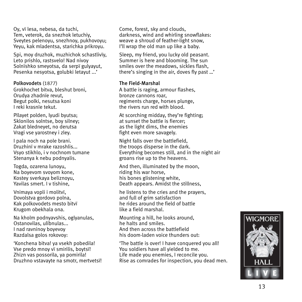Oy, vï lesa, nebesa, da tuchi, Come, forest, sky and clouds, Come, forest, sky and clouds, Come, forest, sky and clouds, Tem. Sveytes pelenoyu, snezhnoy, pukhovoyu; weave a shroud of feather-light snow, Yeyu, kak mladentsa, starichka prikroyu.

Spi, moy druzhok, muzhichok schastlivïy, Sleep, my friend, you lucky old peasant. Leto prishlo, rastsvelo! Nad nivoy Summer is here and blooming. The sun<br>Solnishko smevotsa, da serpi gulvavut. Smiles over the meadows, sickles flash. Solnïshko smeyotsa, da serpï gulyayut, smiles over the meadows, sickles flash, smiles over the meadows, sickles flash,  $P$ 

Orudya zhadnïe revut, bronze cannons roar,

Sklonilos solntse, boy silney;<br>Zakat blednevet, no derutsa Vragi vse yarostney i zley. fight even more savagely.

I pala noch na pole brani.<br>
Druzhinï v mrake razoshlis state the troops disperse in the dark Druzhinï v mrake razoshlis... the troops disperse in the dark.<br>Vsvo stikhlo, i v nochnom tumane entity betwing becomes still, and in

Na boyevom svoyom kone,<br>
Kostev sverkava beliznovu.<br>
Kostev sverkava beliznovu.

Dovolstva gordovo polna, and full of grim satisfaction Krugom obekhala ona.

Na kholm podnyavshis, oglyanulas, Mounting a hill, he looks around,  $\Omega$ Ostanovilas, ulïbnulas...<br>Lnad ravninov bovevov I nad ravninoy boyevoy **And then across the battlefield**<br>
Razdalsa golos rokovoy: **And the action** his doom-laden voice thunders

Vse predo mnoy vï smirilis, boytsï! You soldiers have all yielded to me.

darkness, wind and whirling snowflakes:<br>weave a shroud of feather-light snow.

there's singing in the air, doves fly past ...'

### Polkovodets (1877) The Field-Marshal

Grokhochet bitva, bleshut broni, A battle is raging, armour flashes, Begut polki, nesutsa koni regiments charge, horses plunge,<br>I reki krasnje tekut regiments regiments charge the rivers run red with blood the rivers run red with blood.

Pïlayet polden, lyudi byutsa; <br>
Sklonilos solntse, boy silney: at sunset the battle is fiercer: as the light dims, the enemies

Vsyo stikhlo, i v nochnom tumane Everything becomes still, and in the night air<br>Stenanya k nebu podnyalis. groans rise up to the heavens.

Togda, ozarena lunoyu, And then, illuminated by the moon, Kostey sverkaya beliznoyu,<br>
Yavilas smert 1 v tishine<br>
Neath annears Amidst the Death appears. Amidst the stillness,

Vnimaya vopli i molitvï, he listens to the cries and the prayers, Kak polkovodets mesto bitvï he rides around the field of battle around the field of battle for the rides around the field marshal.

his doom-laden voice thunders out:

'Konchena bitva! ya vsekh pobedila! 'The battle is over! I have conquered you all! Zhizn vas possorila, ya pomirila!<br>
Druzhno vstavayte na smotr, mertvetsï! Bise as comrades for inspection, you de Rise as comrades for inspection, you dead men.

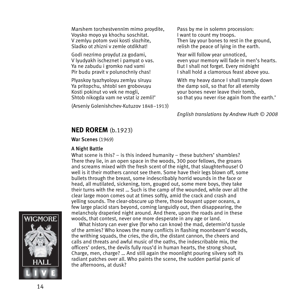Marshem torzhestvennïm mimo proydite, Pass by me in solemn procession: Voysko moyo ya khochu soschitat. I want to count my troops. V zemlyu potom svoi kosti slozhite,<br>Sladko ot zhizni v zemle otdikhatlari subjekt hank he neace of lying in the earth

Godï nezrimo proydut za godami, Year will follow year unnoticed,

Ya pritopchu, shtobï sen grobovuyu the damp soil, so that for all eternity Kosti pokinut vo vek ne mogli, your bones never leave their tomb,<br>Shtob nikogda vam ne vstat iz zemlil' so that you never rise again from th

(Arseniy Golenishchev-Kutuzov 1848–1913)

relish the peace of lying in the earth.

V lyudyakh ischeznet i pamyat o vas. even your memory will fade in men's hearts.<br>Ya ne zabudu i gromko nad vami en But I shall not forget. Every midnight But I shall not forget. Every midnight Pir budu pravit v polunochnïy chas! I shall hold a clamorous feast above you.

Plyaskoy tyazhyoloyu zemlyu sïruyu With my heavy dance I shall trample down so that you never rise again from the earth.'

*English translations by Andrew Huth © 2008*

## **NED ROREM** (b.1923)

War Scenes (1969)

### A Night Battle

What scene is this? – is this indeed humanity – these butchers' shambles? There they lie, in an open space in the woods, 300 poor fellows, the groans and screams mixed with the fresh scent of the night, that slaughterhouse! O well is it their mothers cannot see them. Some have their legs blown off, some bullets through the breast, some indescribably horrid wounds in the face or head, all mutilated, sickening, torn, gouged out, some mere boys, they take their turns with the rest … Such is the camp of the wounded, while over all the clear large moon comes out at times softly, amid the crack and crash and yelling sounds. The clear-obscure up there, those bouyant upper oceans, a few large placid stars beyond, coming languidly out, then disappearing, the melancholy draperied night around. And there, upon the roads and in these woods, that contest, never one more desperate in any age or land.



What history can ever give (for who can know) the mad, determin'd tussle of the armies? Who knows the many conflicts in flashing moonbeam'd woods, the writhing squads, the cries, the din, the distant cannon, the cheers and calls and threats and awful music of the oaths, the indescribable mix, the officers' orders, the devils fully rous'd in human hearts, the strong shout, Charge, men, charge? … And still again the moonlight pouring silvery soft its radiant patches over all. Who paints the scene, the sudden partial panic of the afternoons, at dusk?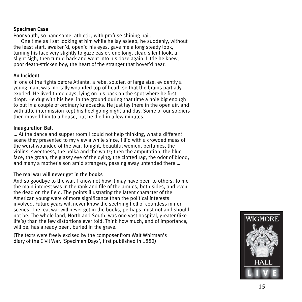### Specimen Case

Poor youth, so handsome, athletic, with profuse shining hair.

One time as I sat looking at him while he lay asleep, he suddenly, without the least start, awaken'd, open'd his eyes, gave me a long steady look, turning his face very slightly to gaze easier, one long, clear, silent look, a slight sigh, then turn'd back and went into his doze again. Little he knew, poor death-stricken boy, the heart of the stranger that hover'd near.

### An Incident

In one of the fights before Atlanta, a rebel soldier, of large size, evidently a young man, was mortally wounded top of head, so that the brains partially exuded. He lived three days, lying on his back on the spot where he first dropt. He dug with his heel in the ground during that time a hole big enough to put in a couple of ordinary knapsacks. He just lay there in the open air, and with little intermission kept his heel going night and day. Some of our soldiers then moved him to a house, but he died in a few minutes.

### Inauguration Ball

… At the dance and supper room I could not help thinking, what a different scene they presented to my view a while since, fill'd with a crowded mass of the worst wounded of the war. Tonight, beautiful women, perfumes, the violins' sweetness, the polka and the waltz; then the amputation, the blue face, the groan, the glassy eye of the dying, the clotted rag, the odor of blood, and many a mother's son amid strangers, passing away untended there …

### The real war will never get in the books

And so goodbye to the war. I know not how it may have been to others. To me the main interest was in the rank and file of the armies, both sides, and even the dead on the field. The points illustrating the latent character of the American young were of more significance than the political interests involved. Future years will never know the seething hell of countless minor scenes. The real war will never get in the books, perhaps must not and should not be. The whole land, North and South, was one vast hospital, greater (like life's) than the few distortions ever told. Think how much, and of importance, will be, has already been, buried in the grave.

(The texts were freely excised by the composer from Walt Whitman's diary of the Civil War, 'Specimen Days', first published in 1882)

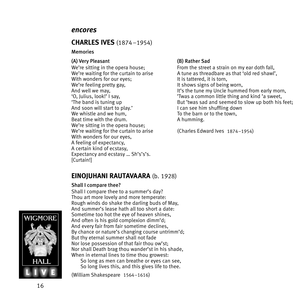### *encores*

## **CHARLES IVES** (1874–1954)

### Memories

### (A) Very Pleasant (B) Rather Sad

With wonders for our eyes;<br>
We're feeling pretty gay.<br>
It shows signs of being And soon will start to play.' I can see him shuffling down<br>We whistle and we hum<br>To the barn or to the town Beat time with the drum. We're sitting in the opera house: We're waiting for the curtain to arise (Charles Edward Ives 1874–1954) With wonders for our eyes. A feeling of expectancy, A certain kind of ecstasy, Expectancy and ecstasy … Sh's's's. [Curtain!]

We're sitting in the opera house: From the street a strain on my ear doth fall, We're waiting for the curtain to arise A tune as threadbare as that 'old red shawl'. It shows signs of being worn. And well we may,<br>
'O. Iulius. look!' I say.<br>
'Twas a common little thing and kind 'a sweet. 'O, Julius, look!' I say, 'Twas a common little thing and kind 'a sweet, But 'twas sad and seemed to slow up both his feet: To the barn or to the town,<br>A humming.

## **EINOJUHANI RAUTAVAARA** (b. 1928)

### Shall I compare thee?

Shall I compare thee to a summer's day? Thou art more lovely and more temperate: Rough winds do shake the darling buds of May, And summer's lease hath all too short a date: Sometime too hot the eye of heaven shines, And often is his gold complexion dimm'd; And every fair from fair sometime declines, By chance or nature's changing course untrimm'd; But thy eternal summer shall not fade Nor lose possession of that fair thou ow'st; Nor shall Death brag thou wander'st in his shade, When in eternal lines to time thou growest:

So long as men can breathe or eyes can see, So long lives this, and this gives life to thee.

(William Shakespeare 1564–1616)

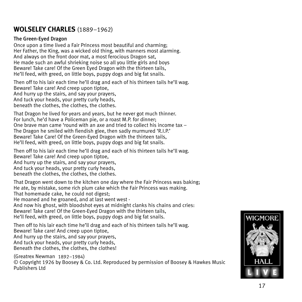## **WOLSELEY CHARLES** (1889–1962)

### The Green-Eyed Dragon

Once upon a time lived a Fair Princess most beautiful and charming; Her Father, the King, was a wicked old thing, with manners most alarming. And always on the front door mat, a most ferocious Dragon sat, He made such an awful shrieking noise so all you little girls and boys Beware! Take care! Of the Green Eyed Dragon with the thirteen tails, He'll feed, with greed, on little boys, puppy dogs and big fat snails.

Then off to his lair each time he'll drag and each of his thirteen tails he'll wag. Beware! Take care! And creep upon tiptoe, And hurry up the stairs, and say your prayers, And tuck your heads, your pretty curly heads, beneath the clothes, the clothes, the clothes.

That Dragon he lived for years and years, but he never got much thinner. For lunch, he'd have a Policeman pie, or a roast M.P. for dinner; One brave man came 'round with an axe and tried to collect his income tax – The Dragon he smiled with fiendish glee, then sadly murmured 'R.I.P.' Beware! Take Care! Of the Green-Eyed Dragon with the thirteen tails, He'll feed, with greed, on little boys, puppy dogs and big fat snails.

Then off to his lair each time he'll drag and each of his thirteen tails he'll wag. Beware! Take care! And creep upon tiptoe, And hurry up the stairs, and say your prayers. And tuck your heads, your pretty curly heads, beneath the clothes, the clothes, the clothes.

That Dragon went down to the kitchen one day where the Fair Princess was baking; He ate, by mistake, some rich plum cake which the Fair Princess was making. That homemade cake, he could not digest;

He moaned and he groaned, and at last went west -

And now his ghost, with bloodshot eyes at midnight clanks his chains and cries: Beware! Take care! Of the Green-Eyed Dragon with the thirteen tails, He'll feed, with greed, on little boys, puppy dogs and big fat snails.

Then off to his lair each time he'll drag and each of his thirteen tails he'll wag. Beware! Take care! And creep upon tiptoe, And hurry up the stairs, and say your prayers,

And tuck your heads, your pretty curly heads,

Beneath the clothes, the clothes, the clothes!

(Greatrex Newman 1892–1984)

© Copyright 1926 by Boosey & Co. Ltd. Reproduced by permission of Boosey & Hawkes Music Publishers Ltd

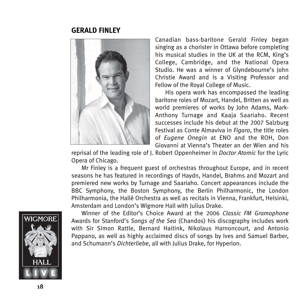## **GERALD FINLEY**



Canadian bass-baritone Gerald Finley began singing as a chorister in Ottawa before completing his musical studies in the UK at the RCM. King's College, Cambridge, and the National Opera Studio. He was a winner of Glyndebourne's John Christie Award and is a Visiting Professor and Fellow of the Royal College of Music.

His opera work has encompassed the leading baritone roles of Mozart, Handel, Britten as well as world premieres of works by John Adams, Mark-Anthony Turnage and Kaaja Saariaho. Recent successes include his debut at the 2007 Salzburg Festival as Conte Almaviva in *Figaro*, the title roles of *Eugene Onegin* at ENO and the ROH, Don Giovanni at Vienna's Theater an der Wien and his

reprisal of the leading role of J. Robert Oppenheimer in *Doctor Atomic* for the Lyric Opera of Chicago.

Mr Finley is a frequent guest of orchestras throughout Europe, and in recent seasons he has featured in recordings of Haydn, Handel, Brahms and Mozart and premiered new works by Turnage and Saariaho. Concert appearances include the BBC Symphony, the Boston Symphony, the Berlin Philharmonic, the London Philharmonia, the Hallé Orchestra as well as recitals in Vienna, Frankfurt, Helsinki, Amsterdam and London's Wigmore Hall with Julius Drake.



Winner of the Editor's Choice Award at the 2006 *Classic FM Gramophone* Awards for Stanford's *Songs of the Sea* (Chandos) his discography includes work with Sir Simon Rattle, Bernard Haitink, Nikolaus Harnoncourt, and Antonio Pappano, as well as highly acclaimed discs of songs by Ives and Samuel Barber, and Schumann's *Dichterliebe*, all with Julius Drake, for Hyperion.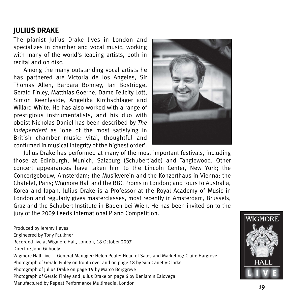## **JULIUS DRAKE**

The pianist Julius Drake lives in London and specializes in chamber and vocal music, working with many of the world's leading artists, both in recital and on disc.

Among the many outstanding vocal artists he has partnered are Victoria de los Angeles, Sir Thomas Allen, Barbara Bonney, Ian Bostridge, Gerald Finley, Matthias Goerne, Dame Felicity Lott, Simon Keenlyside, Angelika Kirchschlager and Willard White. He has also worked with a range of prestigious instrumentalists, and his duo with oboist Nicholas Daniel has been described by *The Independent* as 'one of the most satisfying in British chamber music: vital, thoughtful and confirmed in musical integrity of the highest order'.



Julius Drake has performed at many of the most important festivals, including those at Edinburgh, Munich, Salzburg (Schubertiade) and Tanglewood. Other concert appearances have taken him to the Lincoln Center, New York; the Concertgebouw, Amsterdam; the Musikverein and the Konzerthaus in Vienna; the Châtelet, Paris; Wigmore Hall and the BBC Proms in London; and tours to Australia, Korea and Japan. Julius Drake is a Professor at the Royal Academy of Music in London and regularly gives masterclasses, most recently in Amsterdam, Brussels, Graz and the Schubert Institute in Baden bei Wien. He has been invited on to the jury of the 2009 Leeds International Piano Competition.

Produced by Jeremy Hayes Engineered by Tony Faulkner Recorded live at Wigmore Hall, London, 18 October 2007 Director: John Gilhooly Wigmore Hall Live — General Manager: Helen Peate; Head of Sales and Marketing: Claire Hargrove Photograph of Gerald Finley on front cover and on page 18 by Sim Canetty-Clarke Photograph of Julius Drake on page 19 by Marco Borggreve Photograph of Gerald Finley and Julius Drake on page 6 by Benjamin Ealovega Manufactured by Repeat Performance Multimedia, London